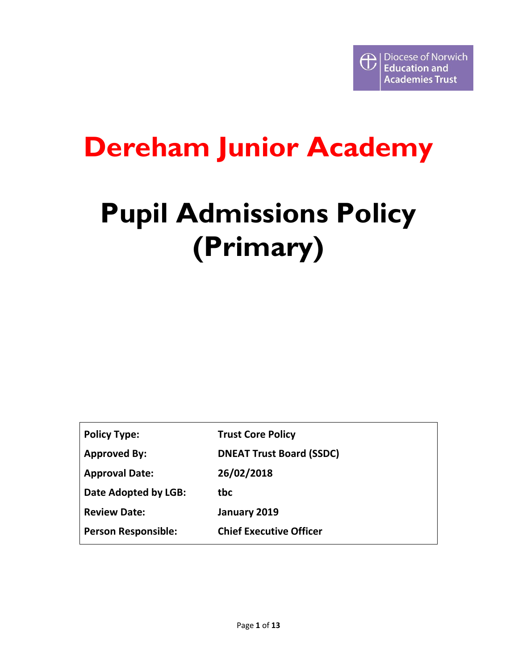## **Dereham Junior Academy**

# **Pupil Admissions Policy (Primary)**

| <b>Policy Type:</b>        | <b>Trust Core Policy</b>        |
|----------------------------|---------------------------------|
| <b>Approved By:</b>        | <b>DNEAT Trust Board (SSDC)</b> |
| <b>Approval Date:</b>      | 26/02/2018                      |
| Date Adopted by LGB:       | tbc                             |
| <b>Review Date:</b>        | January 2019                    |
| <b>Person Responsible:</b> | <b>Chief Executive Officer</b>  |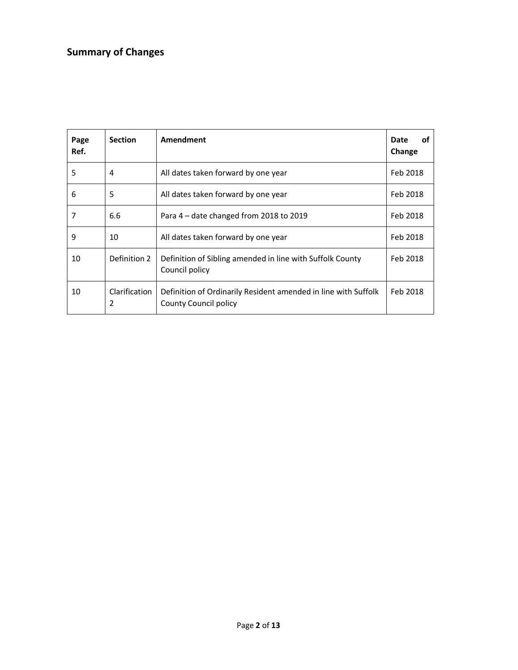## **Summary of Changes**

| Page<br>Ref. | <b>Section</b>                                                                              | Amendment                                                                                      | Date<br>οf<br>Change |
|--------------|---------------------------------------------------------------------------------------------|------------------------------------------------------------------------------------------------|----------------------|
| 5            | 4                                                                                           | All dates taken forward by one year                                                            | Feb 2018             |
| 6            | 5                                                                                           | All dates taken forward by one year                                                            | Feb 2018             |
| 7            | 6.6                                                                                         | Para $4$ – date changed from 2018 to 2019                                                      | Feb 2018             |
| 9            | 10                                                                                          | All dates taken forward by one year                                                            | Feb 2018             |
| 10           | Definition 2<br>Definition of Sibling amended in line with Suffolk County<br>Council policy |                                                                                                | Feb 2018             |
| 10           | Clarification<br>2                                                                          | Definition of Ordinarily Resident amended in line with Suffolk<br><b>County Council policy</b> | Feb 2018             |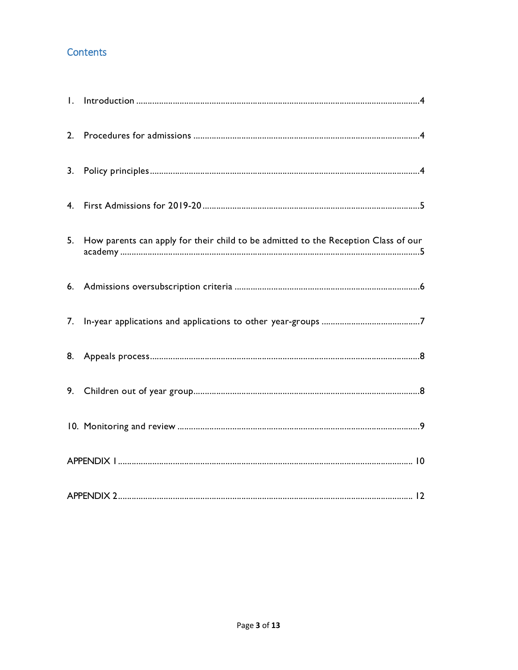### **Contents**

| 5. | How parents can apply for their child to be admitted to the Reception Class of our |
|----|------------------------------------------------------------------------------------|
|    |                                                                                    |
|    |                                                                                    |
|    |                                                                                    |
|    |                                                                                    |
|    |                                                                                    |
|    |                                                                                    |
|    |                                                                                    |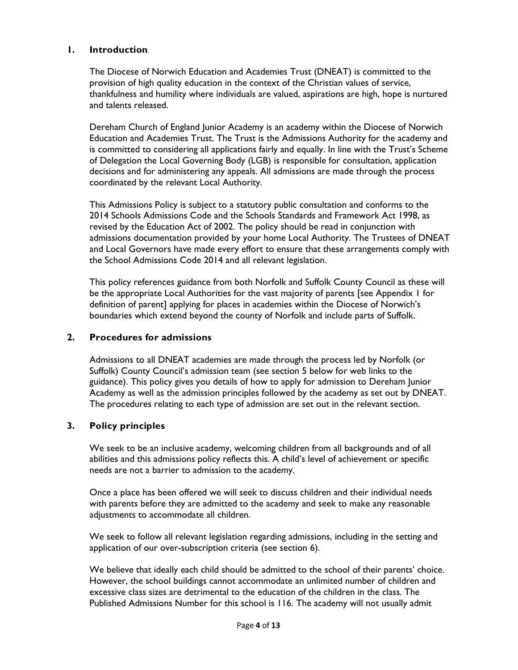#### **1. Introduction**

The Diocese of Norwich Education and Academies Trust (DNEAT) is committed to the provision of high quality education in the context of the Christian values of service, thankfulness and humility where individuals are valued, aspirations are high, hope is nurtured and talents released.

Dereham Church of England Junior Academy is an academy within the Diocese of Norwich Education and Academies Trust. The Trust is the Admissions Authority for the academy and is committed to considering all applications fairly and equally. In line with the Trust's Scheme of Delegation the Local Governing Body (LGB) is responsible for consultation, application decisions and for administering any appeals. All admissions are made through the process coordinated by the relevant Local Authority.

This Admissions Policy is subject to a statutory public consultation and conforms to the 2014 Schools Admissions Code and the Schools Standards and Framework Act 1998, as revised by the Education Act of 2002. The policy should be read in conjunction with admissions documentation provided by your home Local Authority. The Trustees of DNEAT and Local Governors have made every effort to ensure that these arrangements comply with the School Admissions Code 2014 and all relevant legislation.

This policy references guidance from both Norfolk and Suffolk County Council as these will be the appropriate Local Authorities for the vast majority of parents [see Appendix 1 for definition of parent] applying for places in academies within the Diocese of Norwich's boundaries which extend beyond the county of Norfolk and include parts of Suffolk.

#### **2. Procedures for admissions**

Admissions to all DNEAT academies are made through the process led by Norfolk (or Suffolk) County Council's admission team (see section 5 below for web links to the guidance). This policy gives you details of how to apply for admission to Dereham Junior Academy as well as the admission principles followed by the academy as set out by DNEAT. The procedures relating to each type of admission are set out in the relevant section.

#### **3. Policy principles**

We seek to be an inclusive academy, welcoming children from all backgrounds and of all abilities and this admissions policy reflects this. A child's level of achievement or specific needs are not a barrier to admission to the academy.

Once a place has been offered we will seek to discuss children and their individual needs with parents before they are admitted to the academy and seek to make any reasonable adjustments to accommodate all children.

We seek to follow all relevant legislation regarding admissions, including in the setting and application of our over-subscription criteria (see section 6).

We believe that ideally each child should be admitted to the school of their parents' choice. However, the school buildings cannot accommodate an unlimited number of children and excessive class sizes are detrimental to the education of the children in the class. The Published Admissions Number for this school is 116. The academy will not usually admit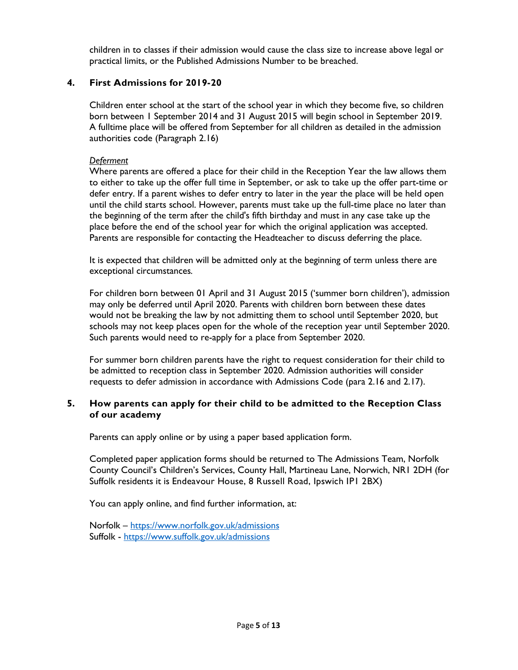children in to classes if their admission would cause the class size to increase above legal or practical limits, or the Published Admissions Number to be breached.

#### **4. First Admissions for 2019-20**

Children enter school at the start of the school year in which they become five, so children born between 1 September 2014 and 31 August 2015 will begin school in September 2019. A fulltime place will be offered from September for all children as detailed in the admission authorities code (Paragraph 2.16)

#### *Deferment*

Where parents are offered a place for their child in the Reception Year the law allows them to either to take up the offer full time in September, or ask to take up the offer part-time or defer entry. If a parent wishes to defer entry to later in the year the place will be held open until the child starts school. However, parents must take up the full-time place no later than the beginning of the term after the child's fifth birthday and must in any case take up the place before the end of the school year for which the original application was accepted. Parents are responsible for contacting the Headteacher to discuss deferring the place.

It is expected that children will be admitted only at the beginning of term unless there are exceptional circumstances*.*

For children born between 01 April and 31 August 2015 ('summer born children'), admission may only be deferred until April 2020. Parents with children born between these dates would not be breaking the law by not admitting them to school until September 2020, but schools may not keep places open for the whole of the reception year until September 2020. Such parents would need to re-apply for a place from September 2020.

For summer born children parents have the right to request consideration for their child to be admitted to reception class in September 2020. Admission authorities will consider requests to defer admission in accordance with Admissions Code (para 2.16 and 2.17).

#### **5. How parents can apply for their child to be admitted to the Reception Class of our academy**

Parents can apply online or by using a paper based application form.

Completed paper application forms should be returned to The Admissions Team, Norfolk County Council's Children's Services, County Hall, Martineau Lane, Norwich, NR1 2DH (for Suffolk residents it is Endeavour House, 8 Russell Road, Ipswich IP1 2BX)

You can apply online, and find further information, at:

Norfolk – https://www.norfolk.gov.uk/admissions Suffolk - https://www.suffolk.gov.uk/admissions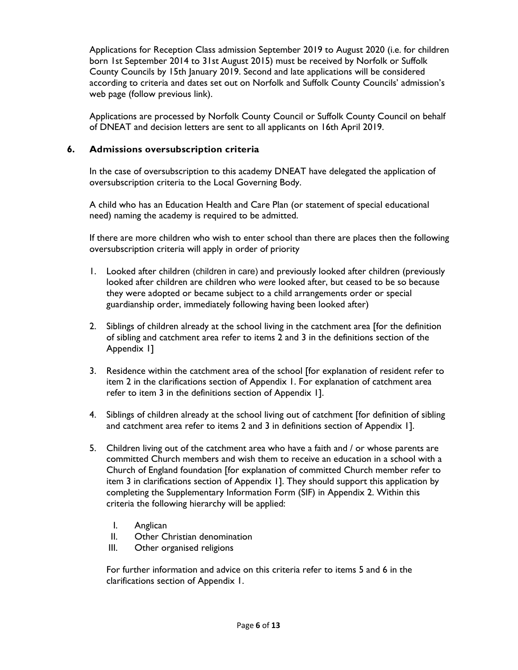Applications for Reception Class admission September 2019 to August 2020 (i.e. for children born 1st September 2014 to 31st August 2015) must be received by Norfolk or Suffolk County Councils by 15th January 2019. Second and late applications will be considered according to criteria and dates set out on Norfolk and Suffolk County Councils' admission's web page (follow previous link).

Applications are processed by Norfolk County Council or Suffolk County Council on behalf of DNEAT and decision letters are sent to all applicants on 16th April 2019.

#### **6. Admissions oversubscription criteria**

In the case of oversubscription to this academy DNEAT have delegated the application of oversubscription criteria to the Local Governing Body.

A child who has an Education Health and Care Plan (or statement of special educational need) naming the academy is required to be admitted.

If there are more children who wish to enter school than there are places then the following oversubscription criteria will apply in order of priority

- 1. Looked after children (children in care) and previously looked after children (previously looked after children are children who *were* looked after, but ceased to be so because they were adopted or became subject to a child arrangements order or special guardianship order, immediately following having been looked after)
- 2. Siblings of children already at the school living in the catchment area [for the definition of sibling and catchment area refer to items 2 and 3 in the definitions section of the Appendix 1]
- 3. Residence within the catchment area of the school [for explanation of resident refer to item 2 in the clarifications section of Appendix 1. For explanation of catchment area refer to item 3 in the definitions section of Appendix 1].
- 4. Siblings of children already at the school living out of catchment [for definition of sibling and catchment area refer to items 2 and 3 in definitions section of Appendix 1].
- 5. Children living out of the catchment area who have a faith and / or whose parents are committed Church members and wish them to receive an education in a school with a Church of England foundation [for explanation of committed Church member refer to item 3 in clarifications section of Appendix 1]. They should support this application by completing the Supplementary Information Form (SIF) in Appendix 2. Within this criteria the following hierarchy will be applied:
	- I. Anglican
	- II. Other Christian denomination
	- III. Other organised religions

For further information and advice on this criteria refer to items 5 and 6 in the clarifications section of Appendix 1.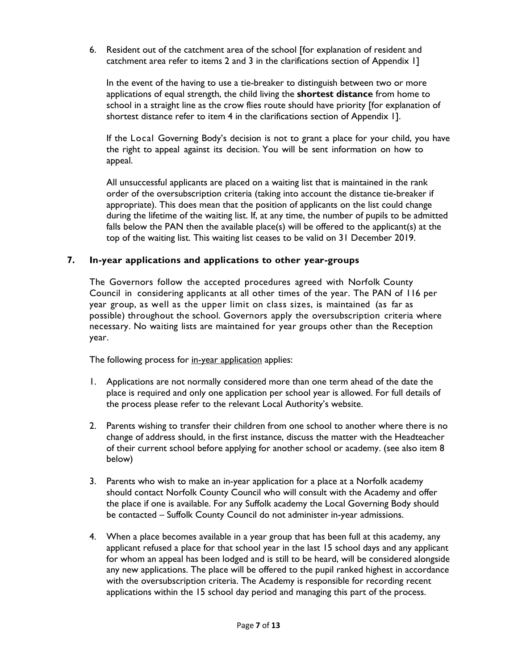6. Resident out of the catchment area of the school [for explanation of resident and catchment area refer to items 2 and 3 in the clarifications section of Appendix 1]

In the event of the having to use a tie-breaker to distinguish between two or more applications of equal strength, the child living the **shortest distance** from home to school in a straight line as the crow flies route should have priority [for explanation of shortest distance refer to item 4 in the clarifications section of Appendix 1].

If the Local Governing Body's decision is not to grant a place for your child, you have the right to appeal against its decision. You will be sent information on how to appeal.

All unsuccessful applicants are placed on a waiting list that is maintained in the rank order of the oversubscription criteria (taking into account the distance tie-breaker if appropriate). This does mean that the position of applicants on the list could change during the lifetime of the waiting list. If, at any time, the number of pupils to be admitted falls below the PAN then the available place(s) will be offered to the applicant(s) at the top of the waiting list. This waiting list ceases to be valid on 31 December 2019.

#### **7. In-year applications and applications to other year-groups**

The Governors follow the accepted procedures agreed with Norfolk County Council in considering applicants at all other times of the year. The PAN of 116 per year group, as well as the upper limit on class sizes, is maintained (as far as possible) throughout the school. Governors apply the oversubscription criteria where necessary. No waiting lists are maintained for year groups other than the Reception year.

The following process for in-year application applies:

- 1. Applications are not normally considered more than one term ahead of the date the place is required and only one application per school year is allowed. For full details of the process please refer to the relevant Local Authority's website.
- 2. Parents wishing to transfer their children from one school to another where there is no change of address should, in the first instance, discuss the matter with the Headteacher of their current school before applying for another school or academy. (see also item 8 below)
- 3. Parents who wish to make an in-year application for a place at a Norfolk academy should contact Norfolk County Council who will consult with the Academy and offer the place if one is available. For any Suffolk academy the Local Governing Body should be contacted – Suffolk County Council do not administer in-year admissions.
- 4. When a place becomes available in a year group that has been full at this academy, any applicant refused a place for that school year in the last 15 school days and any applicant for whom an appeal has been lodged and is still to be heard, will be considered alongside any new applications. The place will be offered to the pupil ranked highest in accordance with the oversubscription criteria. The Academy is responsible for recording recent applications within the 15 school day period and managing this part of the process.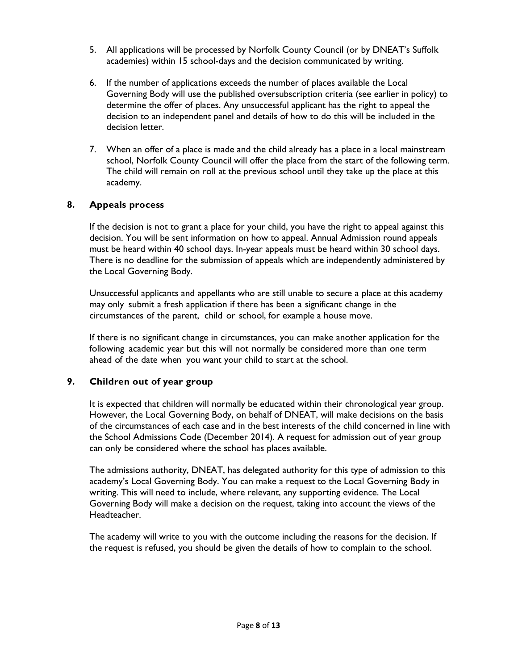- 5. All applications will be processed by Norfolk County Council (or by DNEAT's Suffolk academies) within 15 school-days and the decision communicated by writing.
- 6. If the number of applications exceeds the number of places available the Local Governing Body will use the published oversubscription criteria (see earlier in policy) to determine the offer of places. Any unsuccessful applicant has the right to appeal the decision to an independent panel and details of how to do this will be included in the decision letter.
- 7. When an offer of a place is made and the child already has a place in a local mainstream school, Norfolk County Council will offer the place from the start of the following term. The child will remain on roll at the previous school until they take up the place at this academy.

#### **8. Appeals process**

If the decision is not to grant a place for your child, you have the right to appeal against this decision. You will be sent information on how to appeal. Annual Admission round appeals must be heard within 40 school days. In-year appeals must be heard within 30 school days. There is no deadline for the submission of appeals which are independently administered by the Local Governing Body.

Unsuccessful applicants and appellants who are still unable to secure a place at this academy may only submit a fresh application if there has been a significant change in the circumstances of the parent, child or school, for example a house move.

If there is no significant change in circumstances, you can make another application for the following academic year but this will not normally be considered more than one term ahead of the date when you want your child to start at the school.

#### **9. Children out of year group**

It is expected that children will normally be educated within their chronological year group. However, the Local Governing Body, on behalf of DNEAT, will make decisions on the basis of the circumstances of each case and in the best interests of the child concerned in line with the School Admissions Code (December 2014). A request for admission out of year group can only be considered where the school has places available.

The admissions authority, DNEAT, has delegated authority for this type of admission to this academy's Local Governing Body. You can make a request to the Local Governing Body in writing. This will need to include, where relevant, any supporting evidence. The Local Governing Body will make a decision on the request, taking into account the views of the Headteacher.

The academy will write to you with the outcome including the reasons for the decision. If the request is refused, you should be given the details of how to complain to the school.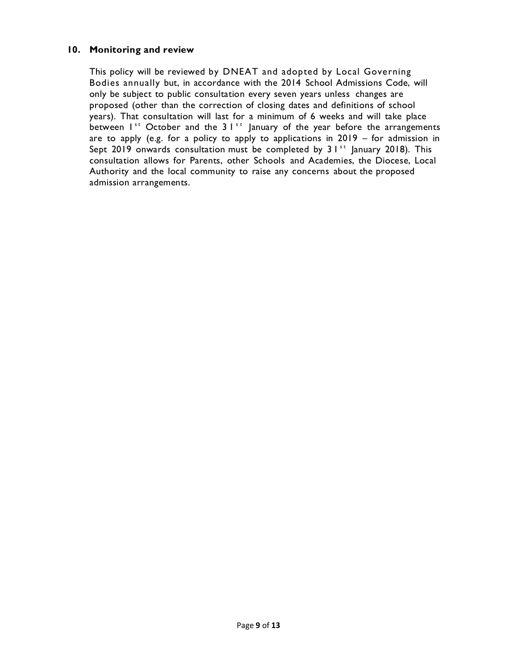#### **10. Monitoring and review**

This policy will be reviewed by DNEAT and adopted by Local Governing Bodies annually but, in accordance with the 2014 School Admissions Code, will only be subject to public consultation every seven years unless changes are proposed (other than the correction of closing dates and definitions of school years). That consultation will last for a minimum of 6 weeks and will take place between  $1^{st}$  October and the 3  $1^{st}$  January of the year before the arrangements are to apply (e.g. for a policy to apply to applications in 2019 – for admission in Sept 2019 onwards consultation must be completed by  $31^{st}$  January 2018). This consultation allows for Parents, other Schools and Academies, the Diocese, Local Authority and the local community to raise any concerns about the proposed admission arrangements.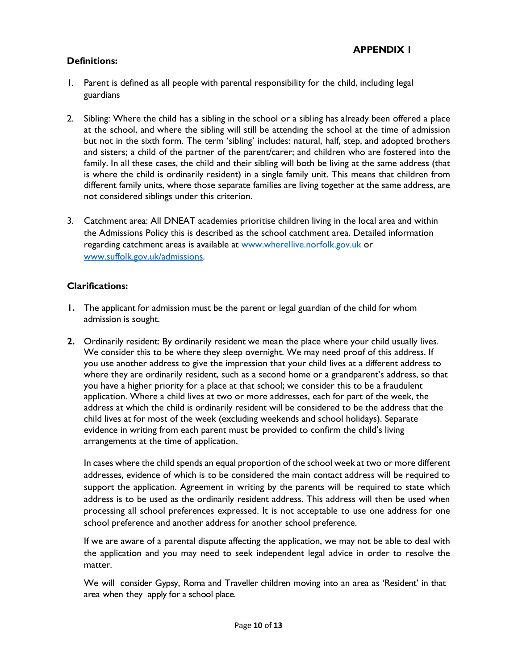#### **Definitions:**

- 1. Parent is defined as all people with parental responsibility for the child, including legal guardians
- 2. Sibling: Where the child has a sibling in the school or a sibling has already been offered a place at the school, and where the sibling will still be attending the school at the time of admission but not in the sixth form. The term 'sibling' includes: natural, half, step, and adopted brothers and sisters; a child of the partner of the parent/carer; and children who are fostered into the family. In all these cases, the child and their sibling will both be living at the same address (that is where the child is ordinarily resident) in a single family unit. This means that children from different family units, where those separate families are living together at the same address, are not considered siblings under this criterion.
- 3. Catchment area: All DNEAT academies prioritise children living in the local area and within the Admissions Policy this is described as the school catchment area. Detailed information regarding catchment areas is available at www.wherellive.norfolk.gov.uk or www.suffolk.gov.uk/admissions.

#### **Clarifications:**

- **1.** The applicant for admission must be the parent or legal guardian of the child for whom admission is sought.
- **2.** Ordinarily resident: By ordinarily resident we mean the place where your child usually lives. We consider this to be where they sleep overnight. We may need proof of this address. If you use another address to give the impression that your child lives at a different address to where they are ordinarily resident, such as a second home or a grandparent's address, so that you have a higher priority for a place at that school; we consider this to be a fraudulent application. Where a child lives at two or more addresses, each for part of the week, the address at which the child is ordinarily resident will be considered to be the address that the child lives at for most of the week (excluding weekends and school holidays). Separate evidence in writing from each parent must be provided to confirm the child's living arrangements at the time of application.

In cases where the child spends an equal proportion of the school week at two or more different addresses, evidence of which is to be considered the main contact address will be required to support the application. Agreement in writing by the parents will be required to state which address is to be used as the ordinarily resident address. This address will then be used when processing all school preferences expressed. It is not acceptable to use one address for one school preference and another address for another school preference.

If we are aware of a parental dispute affecting the application, we may not be able to deal with the application and you may need to seek independent legal advice in order to resolve the matter.

We will consider Gypsy, Roma and Traveller children moving into an area as 'Resident' in that area when they apply for a school place.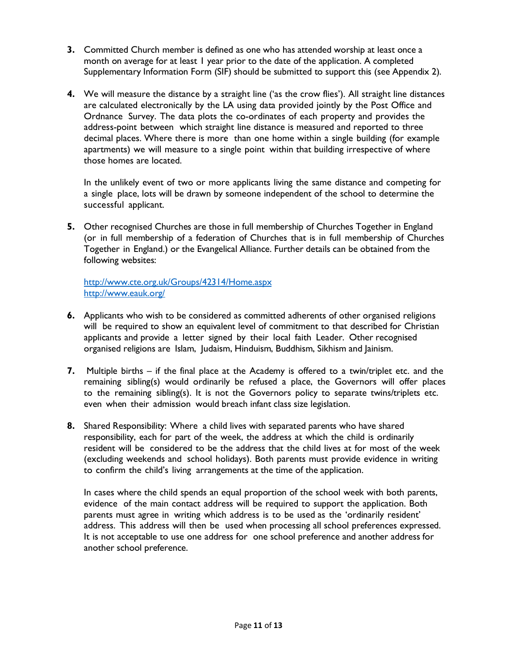- **3.** Committed Church member is defined as one who has attended worship at least once a month on average for at least 1 year prior to the date of the application. A completed Supplementary Information Form (SIF) should be submitted to support this (see Appendix 2).
- **4.** We will measure the distance by a straight line ('as the crow flies'). All straight line distances are calculated electronically by the LA using data provided jointly by the Post Office and Ordnance Survey. The data plots the co-ordinates of each property and provides the address-point between which straight line distance is measured and reported to three decimal places. Where there is more than one home within a single building (for example apartments) we will measure to a single point within that building irrespective of where those homes are located.

In the unlikely event of two or more applicants living the same distance and competing for a single place, lots will be drawn by someone independent of the school to determine the successful applicant.

**5.** Other recognised Churches are those in full membership of Churches Together in England (or in full membership of a federation of Churches that is in full membership of Churches Together in England.) or the Evangelical Alliance. Further details can be obtained from the following websites:

http://www.cte.org.uk/Groups/42314/Home.aspx http://www.eauk.org/

- **6.** Applicants who wish to be considered as committed adherents of other organised religions will be required to show an equivalent level of commitment to that described for Christian applicants and provide a letter signed by their local faith Leader. Other recognised organised religions are Islam, Judaism, Hinduism, Buddhism, Sikhism and Jainism.
- **7.** Multiple births if the final place at the Academy is offered to a twin/triplet etc. and the remaining sibling(s) would ordinarily be refused a place, the Governors will offer places to the remaining sibling(s). It is not the Governors policy to separate twins/triplets etc. even when their admission would breach infant class size legislation.
- **8.** Shared Responsibility: Where a child lives with separated parents who have shared responsibility, each for part of the week, the address at which the child is ordinarily resident will be considered to be the address that the child lives at for most of the week (excluding weekends and school holidays). Both parents must provide evidence in writing to confirm the child's living arrangements at the time of the application.

In cases where the child spends an equal proportion of the school week with both parents, evidence of the main contact address will be required to support the application. Both parents must agree in writing which address is to be used as the 'ordinarily resident' address. This address will then be used when processing all school preferences expressed. It is not acceptable to use one address for one school preference and another address for another school preference.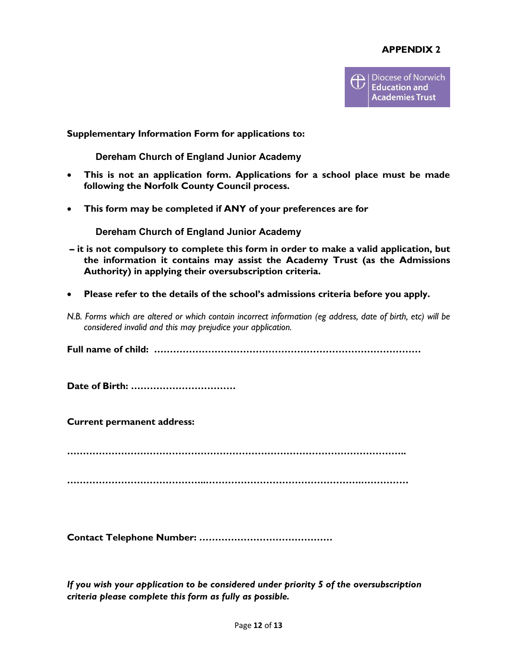#### **APPENDIX 2**



#### **Supplementary Information Form for applications to:**

**Dereham Church of England Junior Academy**

- **This is not an application form. Applications for a school place must be made following the Norfolk County Council process.**
- **This form may be completed if ANY of your preferences are for**

**Dereham Church of England Junior Academy**

- **it is not compulsory to complete this form in order to make a valid application, but the information it contains may assist the Academy Trust (as the Admissions Authority) in applying their oversubscription criteria.**
- **Please refer to the details of the school's admissions criteria before you apply.**
- *N.B. Forms which are altered or which contain incorrect information (eg address, date of birth, etc) will be considered invalid and this may prejudice your application.*

**Full name of child: …………………………………………………………………………** 

**Date of Birth: ……………………………**

**Current permanent address:**

**……………………………………………………………………………………………..**

**……………………………………..………………………………………….……………** 

**Contact Telephone Number: ……………………………………**

*If you wish your application to be considered under priority 5 of the oversubscription criteria please complete this form as fully as possible.*